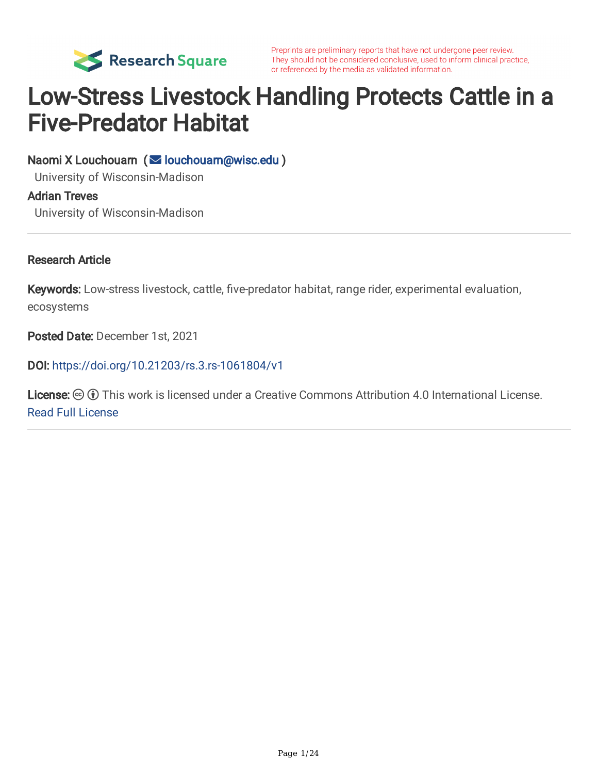

Preprints are preliminary reports that have not undergone peer review. They should not be considered conclusive, used to inform clinical practice, or referenced by the media as validated information.

## Low-Stress Livestock Handling Protects Cattle in a Five-Predator Habitat

Naomi X Louchouarn ( | [louchouarn@wisc.edu](mailto:louchouarn@wisc.edu) )

University of Wisconsin-Madison

#### Adrian Treves

University of Wisconsin-Madison

#### Research Article

Keywords: Low-stress livestock, cattle, five-predator habitat, range rider, experimental evaluation, ecosystems

Posted Date: December 1st, 2021

DOI: <https://doi.org/10.21203/rs.3.rs-1061804/v1>

**License:**  $\textcircled{c}$   $\textcircled{f}$  This work is licensed under a Creative Commons Attribution 4.0 International License. Read Full [License](https://creativecommons.org/licenses/by/4.0/)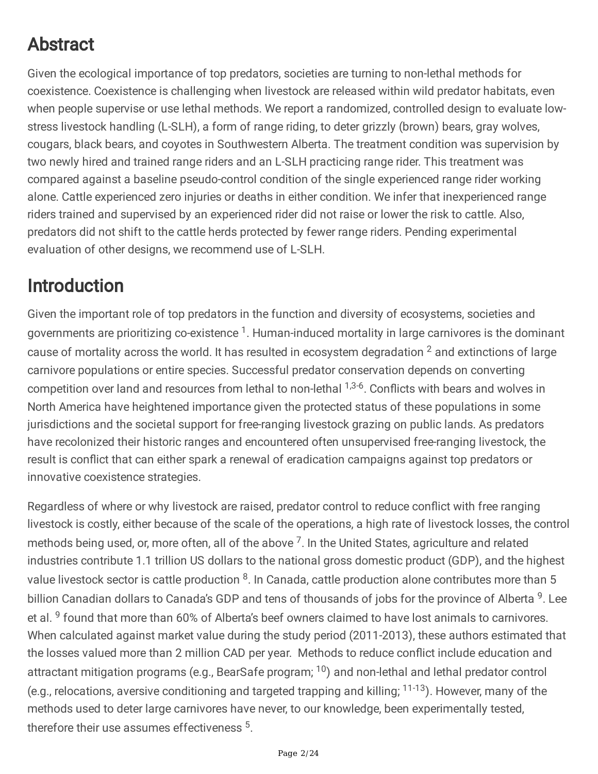## Abstract

Given the ecological importance of top predators, societies are turning to non-lethal methods for coexistence. Coexistence is challenging when livestock are released within wild predator habitats, even when people supervise or use lethal methods. We report a randomized, controlled design to evaluate lowstress livestock handling (L-SLH), a form of range riding, to deter grizzly (brown) bears, gray wolves, cougars, black bears, and coyotes in Southwestern Alberta. The treatment condition was supervision by two newly hired and trained range riders and an L-SLH practicing range rider. This treatment was compared against a baseline pseudo-control condition of the single experienced range rider working alone. Cattle experienced zero injuries or deaths in either condition. We infer that inexperienced range riders trained and supervised by an experienced rider did not raise or lower the risk to cattle. Also, predators did not shift to the cattle herds protected by fewer range riders. Pending experimental evaluation of other designs, we recommend use of L-SLH.

## Introduction

Given the important role of top predators in the function and diversity of ecosystems, societies and governments are prioritizing co-existence <sup>1</sup>. Human-induced mortality in large carnivores is the dominant cause of mortality across the world. It has resulted in ecosystem degradation  $^2$  and extinctions of large carnivore populations or entire species. Successful predator conservation depends on converting competition over land and resources from lethal to non-lethal <sup>1,3-6</sup>. Conflicts with bears and wolves in North America have heightened importance given the protected status of these populations in some jurisdictions and the societal support for free-ranging livestock grazing on public lands. As predators have recolonized their historic ranges and encountered often unsupervised free-ranging livestock, the result is conflict that can either spark a renewal of eradication campaigns against top predators or innovative coexistence strategies.

Regardless of where or why livestock are raised, predator control to reduce conflict with free ranging livestock is costly, either because of the scale of the operations, a high rate of livestock losses, the control methods being used, or, more often, all of the above  $^7$ . In the United States, agriculture and related industries contribute 1.1 trillion US dollars to the national gross domestic product (GDP), and the highest value livestock sector is cattle production <sup>8</sup>. In Canada, cattle production alone contributes more than 5 billion Canadian dollars to Canada's GDP and tens of thousands of jobs for the province of Alberta<sup>9</sup>. Lee et al.<sup>9</sup> found that more than 60% of Alberta's beef owners claimed to have lost animals to carnivores. When calculated against market value during the study period (2011-2013), these authors estimated that the losses valued more than 2 million CAD per year. Methods to reduce conflict include education and attractant mitigation programs (e.g., BearSafe program; <sup>10</sup>) and non-lethal and lethal predator control (e.g., relocations, aversive conditioning and targeted trapping and killing; <sup>11-13</sup>). However, many of the methods used to deter large carnivores have never, to our knowledge, been experimentally tested, therefore their use assumes effectiveness 5 .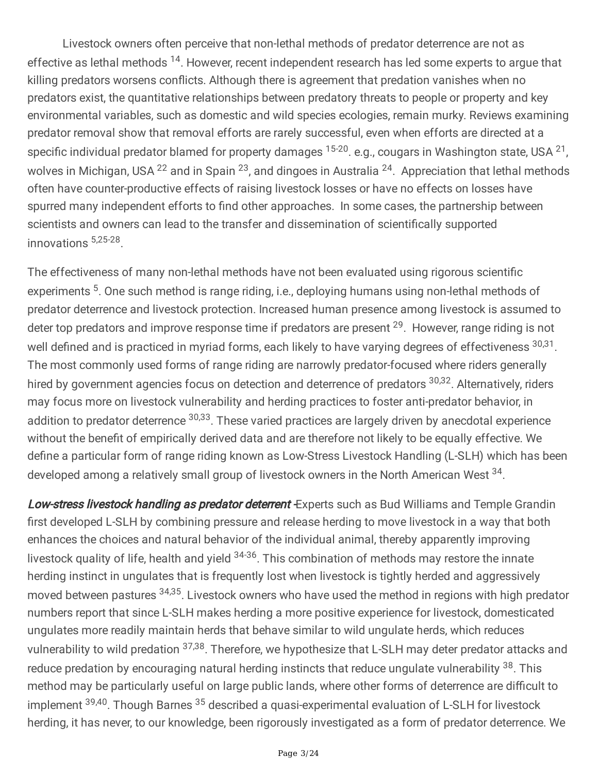Livestock owners often perceive that non-lethal methods of predator deterrence are not as effective as lethal methods <sup>14</sup>. However, recent independent research has led some experts to argue that killing predators worsens conflicts. Although there is agreement that predation vanishes when no predators exist, the quantitative relationships between predatory threats to people or property and key environmental variables, such as domestic and wild species ecologies, remain murky. Reviews examining predator removal show that removal efforts are rarely successful, even when efforts are directed at a specific individual predator blamed for property damages  $^{15\text{-}20}$ . e.g., cougars in Washington state, USA  $^{21}$ , wolves in Michigan, USA <sup>22</sup> and in Spain <sup>23</sup>, and dingoes in Australia <sup>24</sup>. Appreciation that lethal methods often have counter-productive effects of raising livestock losses or have no effects on losses have spurred many independent efforts to find other approaches. In some cases, the partnership between scientists and owners can lead to the transfer and dissemination of scientifically supported innovations 5,25-28 .

The effectiveness of many non-lethal methods have not been evaluated using rigorous scientific experiments <sup>5</sup>. One such method is range riding, i.e., deploying humans using non-lethal methods of predator deterrence and livestock protection. Increased human presence among livestock is assumed to deter top predators and improve response time if predators are present <sup>29</sup>. However, range riding is not well defined and is practiced in myriad forms, each likely to have varying degrees of effectiveness  $^{30,31}$ . The most commonly used forms of range riding are narrowly predator-focused where riders generally hired by government agencies focus on detection and deterrence of predators <sup>30,32</sup>. Alternatively, riders may focus more on livestock vulnerability and herding practices to foster anti-predator behavior, in addition to predator deterrence <sup>30,33</sup>. These varied practices are largely driven by anecdotal experience without the benefit of empirically derived data and are therefore not likely to be equally effective. We define a particular form of range riding known as Low-Stress Livestock Handling (L-SLH) which has been developed among a relatively small group of livestock owners in the North American West <sup>34</sup>.

Low-stress livestock handling as predator deterrent Experts such as Bud Williams and Temple Grandin first developed L-SLH by combining pressure and release herding to move livestock in a way that both enhances the choices and natural behavior of the individual animal, thereby apparently improving livestock quality of life, health and yield <sup>34-36</sup>. This combination of methods may restore the innate herding instinct in ungulates that is frequently lost when livestock is tightly herded and aggressively moved between pastures <sup>34,35</sup>. Livestock owners who have used the method in regions with high predator numbers report that since L-SLH makes herding a more positive experience for livestock, domesticated ungulates more readily maintain herds that behave similar to wild ungulate herds, which reduces vulnerability to wild predation <sup>37,38</sup>. Therefore, we hypothesize that L-SLH may deter predator attacks and reduce predation by encouraging natural herding instincts that reduce ungulate vulnerability <sup>38</sup>. This method may be particularly useful on large public lands, where other forms of deterrence are difficult to implement <sup>39,40</sup>. Though Barnes <sup>35</sup> described a quasi-experimental evaluation of L-SLH for livestock herding, it has never, to our knowledge, been rigorously investigated as a form of predator deterrence. We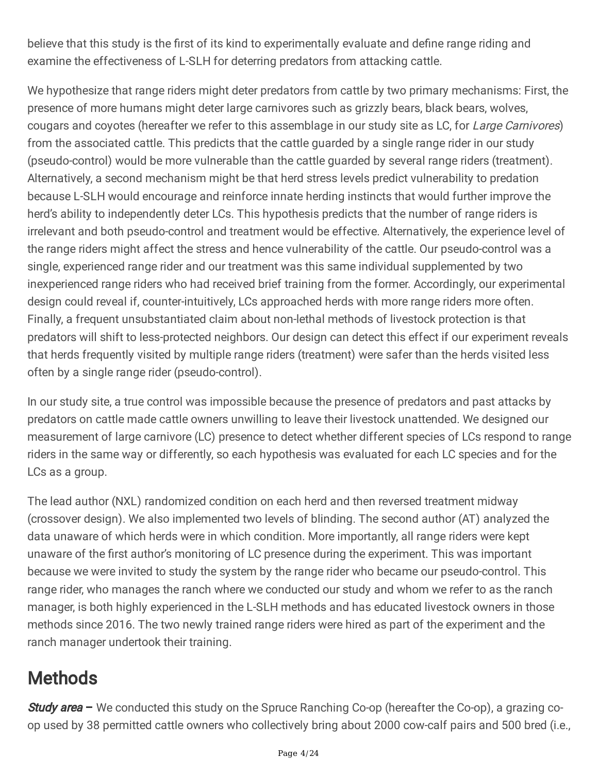believe that this study is the first of its kind to experimentally evaluate and define range riding and examine the effectiveness of L-SLH for deterring predators from attacking cattle.

We hypothesize that range riders might deter predators from cattle by two primary mechanisms: First, the presence of more humans might deter large carnivores such as grizzly bears, black bears, wolves, cougars and coyotes (hereafter we refer to this assemblage in our study site as LC, for Large Carnivores) from the associated cattle. This predicts that the cattle guarded by a single range rider in our study (pseudo-control) would be more vulnerable than the cattle guarded by several range riders (treatment). Alternatively, a second mechanism might be that herd stress levels predict vulnerability to predation because L-SLH would encourage and reinforce innate herding instincts that would further improve the herd's ability to independently deter LCs. This hypothesis predicts that the number of range riders is irrelevant and both pseudo-control and treatment would be effective. Alternatively, the experience level of the range riders might affect the stress and hence vulnerability of the cattle. Our pseudo-control was a single, experienced range rider and our treatment was this same individual supplemented by two inexperienced range riders who had received brief training from the former. Accordingly, our experimental design could reveal if, counter-intuitively, LCs approached herds with more range riders more often. Finally, a frequent unsubstantiated claim about non-lethal methods of livestock protection is that predators will shift to less-protected neighbors. Our design can detect this effect if our experiment reveals that herds frequently visited by multiple range riders (treatment) were safer than the herds visited less often by a single range rider (pseudo-control).

In our study site, a true control was impossible because the presence of predators and past attacks by predators on cattle made cattle owners unwilling to leave their livestock unattended. We designed our measurement of large carnivore (LC) presence to detect whether different species of LCs respond to range riders in the same way or differently, so each hypothesis was evaluated for each LC species and for the LCs as a group.

The lead author (NXL) randomized condition on each herd and then reversed treatment midway (crossover design). We also implemented two levels of blinding. The second author (AT) analyzed the data unaware of which herds were in which condition. More importantly, all range riders were kept unaware of the first author's monitoring of LC presence during the experiment. This was important because we were invited to study the system by the range rider who became our pseudo-control. This range rider, who manages the ranch where we conducted our study and whom we refer to as the ranch manager, is both highly experienced in the L-SLH methods and has educated livestock owners in those methods since 2016. The two newly trained range riders were hired as part of the experiment and the ranch manager undertook their training.

### **Methods**

Study area – We conducted this study on the Spruce Ranching Co-op (hereafter the Co-op), a grazing coop used by 38 permitted cattle owners who collectively bring about 2000 cow-calf pairs and 500 bred (i.e.,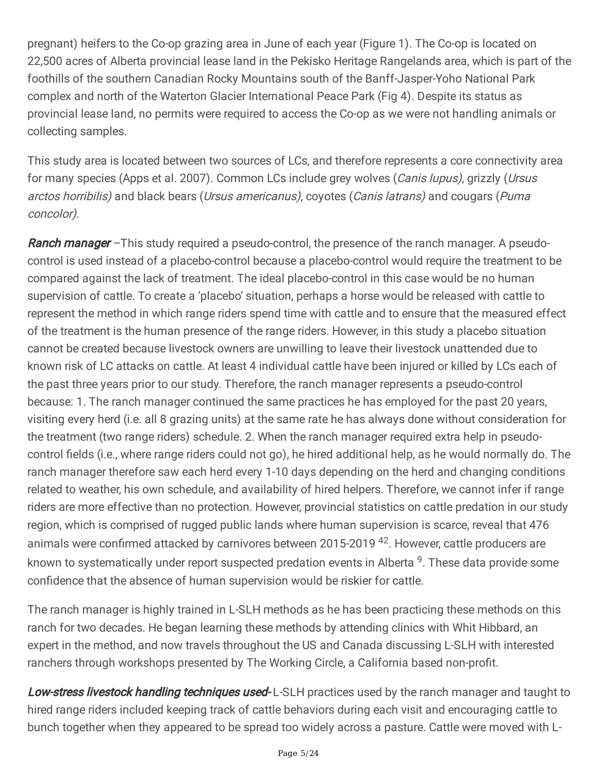pregnant) heifers to the Co-op grazing area in June of each year (Figure 1). The Co-op is located on 22,500 acres of Alberta provincial lease land in the Pekisko Heritage Rangelands area, which is part of the foothills of the southern Canadian Rocky Mountains south of the Banff-Jasper-Yoho National Park complex and north of the Waterton Glacier International Peace Park (Fig 4). Despite its status as provincial lease land, no permits were required to access the Co-op as we were not handling animals or collecting samples.

This study area is located between two sources of LCs, and therefore represents a core connectivity area for many species (Apps et al. 2007). Common LCs include grey wolves (Canis lupus), grizzly (Ursus arctos horribilis) and black bears (Ursus americanus), coyotes (Canis latrans) and cougars (Puma concolor).

**Ranch manager** –This study required a pseudo-control, the presence of the ranch manager. A pseudocontrol is used instead of a placebo-control because a placebo-control would require the treatment to be compared against the lack of treatment. The ideal placebo-control in this case would be no human supervision of cattle. To create a 'placebo' situation, perhaps a horse would be released with cattle to represent the method in which range riders spend time with cattle and to ensure that the measured effect of the treatment is the human presence of the range riders. However, in this study a placebo situation cannot be created because livestock owners are unwilling to leave their livestock unattended due to known risk of LC attacks on cattle. At least 4 individual cattle have been injured or killed by LCs each of the past three years prior to our study. Therefore, the ranch manager represents a pseudo-control because: 1. The ranch manager continued the same practices he has employed for the past 20 years, visiting every herd (i.e. all 8 grazing units) at the same rate he has always done without consideration for the treatment (two range riders) schedule. 2. When the ranch manager required extra help in pseudocontrol fields (i.e., where range riders could not go), he hired additional help, as he would normally do. The ranch manager therefore saw each herd every 1-10 days depending on the herd and changing conditions related to weather, his own schedule, and availability of hired helpers. Therefore, we cannot infer if range riders are more effective than no protection. However, provincial statistics on cattle predation in our study region, which is comprised of rugged public lands where human supervision is scarce, reveal that 476 animals were confirmed attacked by carnivores between 2015-2019<sup>42</sup>. However, cattle producers are known to systematically under report suspected predation events in Alberta <sup>9</sup>. These data provide some confidence that the absence of human supervision would be riskier for cattle.

The ranch manager is highly trained in L-SLH methods as he has been practicing these methods on this ranch for two decades. He began learning these methods by attending clinics with Whit Hibbard, an expert in the method, and now travels throughout the US and Canada discussing L-SLH with interested ranchers through workshops presented by The Working Circle, a California based non-profit.

Low-stress livestock handling techniques used-L-SLH practices used by the ranch manager and taught to hired range riders included keeping track of cattle behaviors during each visit and encouraging cattle to bunch together when they appeared to be spread too widely across a pasture. Cattle were moved with L-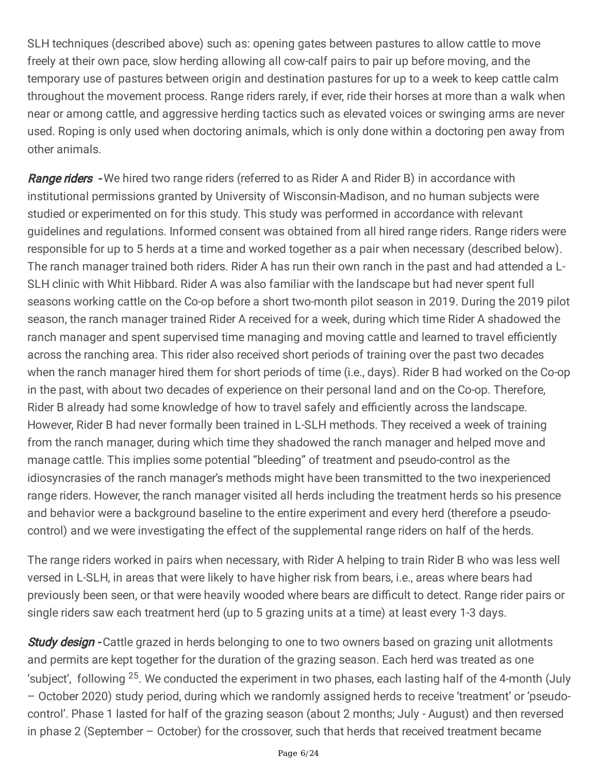SLH techniques (described above) such as: opening gates between pastures to allow cattle to move freely at their own pace, slow herding allowing all cow-calf pairs to pair up before moving, and the temporary use of pastures between origin and destination pastures for up to a week to keep cattle calm throughout the movement process. Range riders rarely, if ever, ride their horses at more than a walk when near or among cattle, and aggressive herding tactics such as elevated voices or swinging arms are never used. Roping is only used when doctoring animals, which is only done within a doctoring pen away from other animals.

**Range riders** - We hired two range riders (referred to as Rider A and Rider B) in accordance with institutional permissions granted by University of Wisconsin-Madison, and no human subjects were studied or experimented on for this study. This study was performed in accordance with relevant guidelines and regulations. Informed consent was obtained from all hired range riders. Range riders were responsible for up to 5 herds at a time and worked together as a pair when necessary (described below). The ranch manager trained both riders. Rider A has run their own ranch in the past and had attended a L-SLH clinic with Whit Hibbard. Rider A was also familiar with the landscape but had never spent full seasons working cattle on the Co-op before a short two-month pilot season in 2019. During the 2019 pilot season, the ranch manager trained Rider A received for a week, during which time Rider A shadowed the ranch manager and spent supervised time managing and moving cattle and learned to travel efficiently across the ranching area. This rider also received short periods of training over the past two decades when the ranch manager hired them for short periods of time (i.e., days). Rider B had worked on the Co-op in the past, with about two decades of experience on their personal land and on the Co-op. Therefore, Rider B already had some knowledge of how to travel safely and efficiently across the landscape. However, Rider B had never formally been trained in L-SLH methods. They received a week of training from the ranch manager, during which time they shadowed the ranch manager and helped move and manage cattle. This implies some potential "bleeding" of treatment and pseudo-control as the idiosyncrasies of the ranch manager's methods might have been transmitted to the two inexperienced range riders. However, the ranch manager visited all herds including the treatment herds so his presence and behavior were a background baseline to the entire experiment and every herd (therefore a pseudocontrol) and we were investigating the effect of the supplemental range riders on half of the herds.

The range riders worked in pairs when necessary, with Rider A helping to train Rider B who was less well versed in L-SLH, in areas that were likely to have higher risk from bears, i.e., areas where bears had previously been seen, or that were heavily wooded where bears are difficult to detect. Range rider pairs or single riders saw each treatment herd (up to 5 grazing units at a time) at least every 1-3 days.

**Study design -** Cattle grazed in herds belonging to one to two owners based on grazing unit allotments and permits are kept together for the duration of the grazing season. Each herd was treated as one 'subject', following <sup>25</sup>. We conducted the experiment in two phases, each lasting half of the 4-month (July – October 2020) study period, during which we randomly assigned herds to receive 'treatment' or 'pseudocontrol'. Phase 1 lasted for half of the grazing season (about 2 months; July - August) and then reversed in phase 2 (September – October) for the crossover, such that herds that received treatment became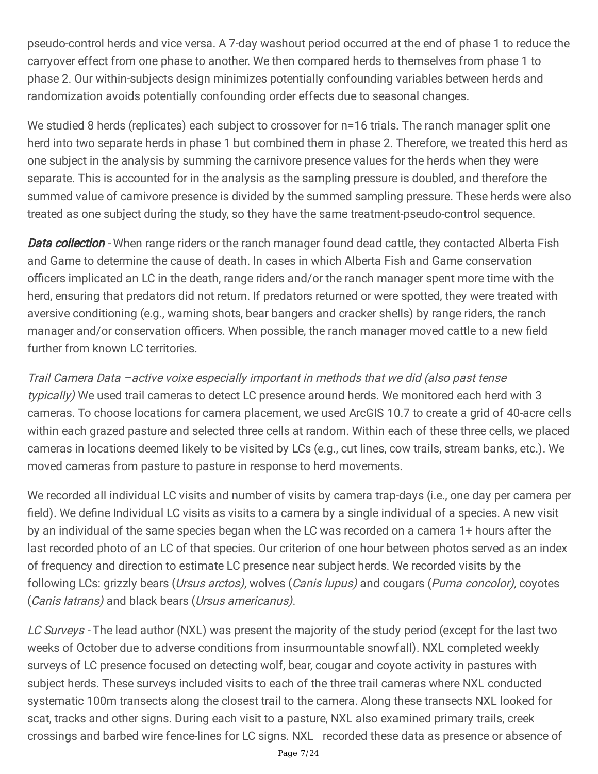pseudo-control herds and vice versa. A 7-day washout period occurred at the end of phase 1 to reduce the carryover effect from one phase to another. We then compared herds to themselves from phase 1 to phase 2. Our within-subjects design minimizes potentially confounding variables between herds and randomization avoids potentially confounding order effects due to seasonal changes.

We studied 8 herds (replicates) each subject to crossover for n=16 trials. The ranch manager split one herd into two separate herds in phase 1 but combined them in phase 2. Therefore, we treated this herd as one subject in the analysis by summing the carnivore presence values for the herds when they were separate. This is accounted for in the analysis as the sampling pressure is doubled, and therefore the summed value of carnivore presence is divided by the summed sampling pressure. These herds were also treated as one subject during the study, so they have the same treatment-pseudo-control sequence.

**Data collection** - When range riders or the ranch manager found dead cattle, they contacted Alberta Fish and Game to determine the cause of death. In cases in which Alberta Fish and Game conservation officers implicated an LC in the death, range riders and/or the ranch manager spent more time with the herd, ensuring that predators did not return. If predators returned or were spotted, they were treated with aversive conditioning (e.g., warning shots, bear bangers and cracker shells) by range riders, the ranch manager and/or conservation officers. When possible, the ranch manager moved cattle to a new field further from known LC territories.

Trail Camera Data –active voixe especially important in methods that we did (also past tense typically) We used trail cameras to detect LC presence around herds. We monitored each herd with 3 cameras. To choose locations for camera placement, we used ArcGIS 10.7 to create a grid of 40-acre cells within each grazed pasture and selected three cells at random. Within each of these three cells, we placed cameras in locations deemed likely to be visited by LCs (e.g., cut lines, cow trails, stream banks, etc.). We moved cameras from pasture to pasture in response to herd movements.

We recorded all individual LC visits and number of visits by camera trap-days (i.e., one day per camera per field). We define Individual LC visits as visits to a camera by a single individual of a species. A new visit by an individual of the same species began when the LC was recorded on a camera 1+ hours after the last recorded photo of an LC of that species. Our criterion of one hour between photos served as an index of frequency and direction to estimate LC presence near subject herds. We recorded visits by the following LCs: grizzly bears (Ursus arctos), wolves (Canis lupus) and cougars (Puma concolor), coyotes (Canis latrans) and black bears (Ursus americanus).

LC Surveys - The lead author (NXL) was present the majority of the study period (except for the last two weeks of October due to adverse conditions from insurmountable snowfall). NXL completed weekly surveys of LC presence focused on detecting wolf, bear, cougar and coyote activity in pastures with subject herds. These surveys included visits to each of the three trail cameras where NXL conducted systematic 100m transects along the closest trail to the camera. Along these transects NXL looked for scat, tracks and other signs. During each visit to a pasture, NXL also examined primary trails, creek crossings and barbed wire fence-lines for LC signs. NXL recorded these data as presence or absence of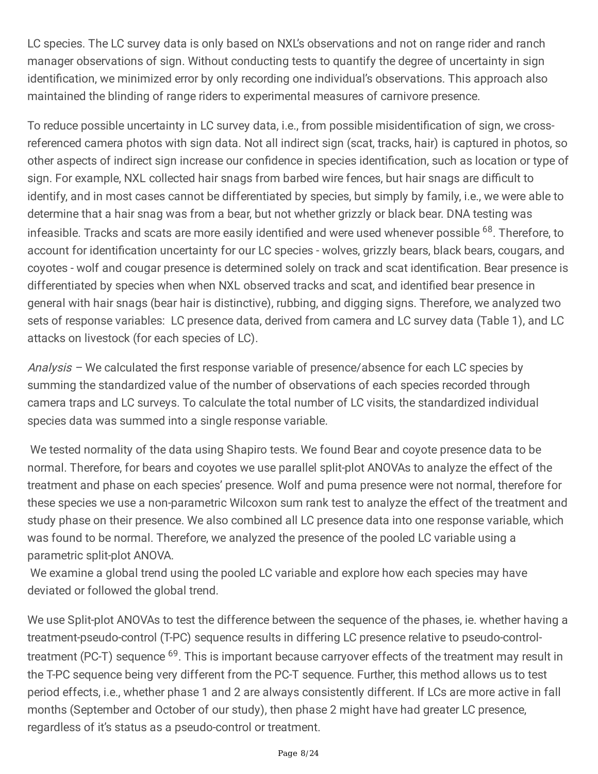LC species. The LC survey data is only based on NXL's observations and not on range rider and ranch manager observations of sign. Without conducting tests to quantify the degree of uncertainty in sign identification, we minimized error by only recording one individual's observations. This approach also maintained the blinding of range riders to experimental measures of carnivore presence.

To reduce possible uncertainty in LC survey data, i.e., from possible misidentification of sign, we crossreferenced camera photos with sign data. Not all indirect sign (scat, tracks, hair) is captured in photos, so other aspects of indirect sign increase our confidence in species identification, such as location or type of sign. For example, NXL collected hair snags from barbed wire fences, but hair snags are difficult to identify, and in most cases cannot be differentiated by species, but simply by family, i.e., we were able to determine that a hair snag was from a bear, but not whether grizzly or black bear. DNA testing was infeasible. Tracks and scats are more easily identified and were used whenever possible 68 . Therefore, to account for identification uncertainty for our LC species - wolves, grizzly bears, black bears, cougars, and coyotes - wolf and cougar presence is determined solely on track and scat identification. Bear presence is differentiated by species when when NXL observed tracks and scat, and identified bear presence in general with hair snags (bear hair is distinctive), rubbing, and digging signs. Therefore, we analyzed two sets of response variables: LC presence data, derived from camera and LC survey data (Table 1), and LC attacks on livestock (for each species of LC).

Analysis – We calculated the first response variable of presence/absence for each LC species by summing the standardized value of the number of observations of each species recorded through camera traps and LC surveys. To calculate the total number of LC visits, the standardized individual species data was summed into a single response variable.

We tested normality of the data using Shapiro tests. We found Bear and coyote presence data to be normal. Therefore, for bears and coyotes we use parallel split-plot ANOVAs to analyze the effect of the treatment and phase on each species' presence. Wolf and puma presence were not normal, therefore for these species we use a non-parametric Wilcoxon sum rank test to analyze the effect of the treatment and study phase on their presence. We also combined all LC presence data into one response variable, which was found to be normal. Therefore, we analyzed the presence of the pooled LC variable using a parametric split-plot ANOVA.

We examine a global trend using the pooled LC variable and explore how each species may have deviated or followed the global trend.

We use Split-plot ANOVAs to test the difference between the sequence of the phases, ie. whether having a treatment-pseudo-control (T-PC) sequence results in differing LC presence relative to pseudo-controltreatment (PC-T) sequence <sup>69</sup>. This is important because carryover effects of the treatment may result in the T-PC sequence being very different from the PC-T sequence. Further, this method allows us to test period effects, i.e., whether phase 1 and 2 are always consistently different. If LCs are more active in fall months (September and October of our study), then phase 2 might have had greater LC presence, regardless of it's status as a pseudo-control or treatment.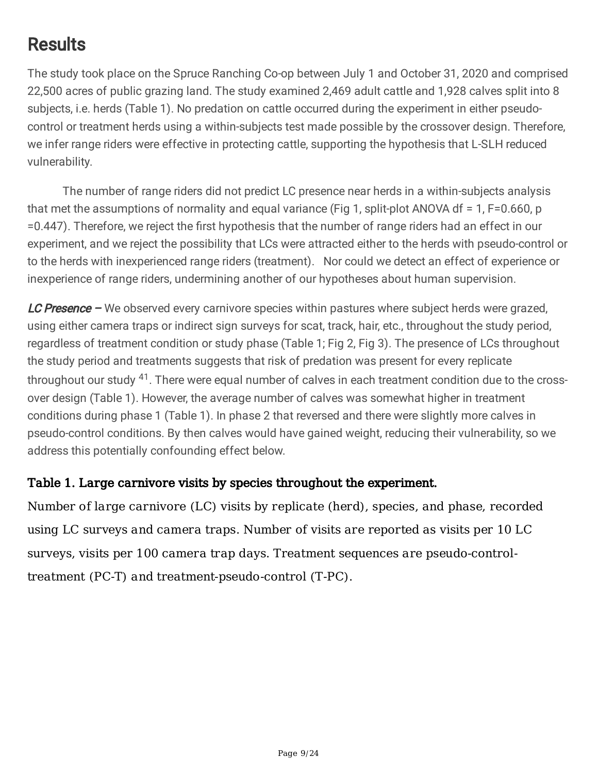## **Results**

The study took place on the Spruce Ranching Co-op between July 1 and October 31, 2020 and comprised 22,500 acres of public grazing land. The study examined 2,469 adult cattle and 1,928 calves split into 8 subjects, i.e. herds (Table 1). No predation on cattle occurred during the experiment in either pseudocontrol or treatment herds using a within-subjects test made possible by the crossover design. Therefore, we infer range riders were effective in protecting cattle, supporting the hypothesis that L-SLH reduced vulnerability.

The number of range riders did not predict LC presence near herds in a within-subjects analysis that met the assumptions of normality and equal variance (Fig 1, split-plot ANOVA df = 1, F=0.660, p =0.447). Therefore, we reject the first hypothesis that the number of range riders had an effect in our experiment, and we reject the possibility that LCs were attracted either to the herds with pseudo-control or to the herds with inexperienced range riders (treatment). Nor could we detect an effect of experience or inexperience of range riders, undermining another of our hypotheses about human supervision.

LC Presence – We observed every carnivore species within pastures where subject herds were grazed, using either camera traps or indirect sign surveys for scat, track, hair, etc., throughout the study period, regardless of treatment condition or study phase (Table 1; Fig 2, Fig 3). The presence of LCs throughout the study period and treatments suggests that risk of predation was present for every replicate throughout our study <sup>41</sup>. There were equal number of calves in each treatment condition due to the crossover design (Table 1). However, the average number of calves was somewhat higher in treatment conditions during phase 1 (Table 1). In phase 2 that reversed and there were slightly more calves in pseudo-control conditions. By then calves would have gained weight, reducing their vulnerability, so we address this potentially confounding effect below.

### Table 1. Large carnivore visits by species throughout the experiment.

Number of large carnivore (LC) visits by replicate (herd), species, and phase, recorded using LC surveys and camera traps. Number of visits are reported as visits per 10 LC surveys, visits per 100 camera trap days. Treatment sequences are pseudo-controltreatment (PC-T) and treatment-pseudo-control (T-PC).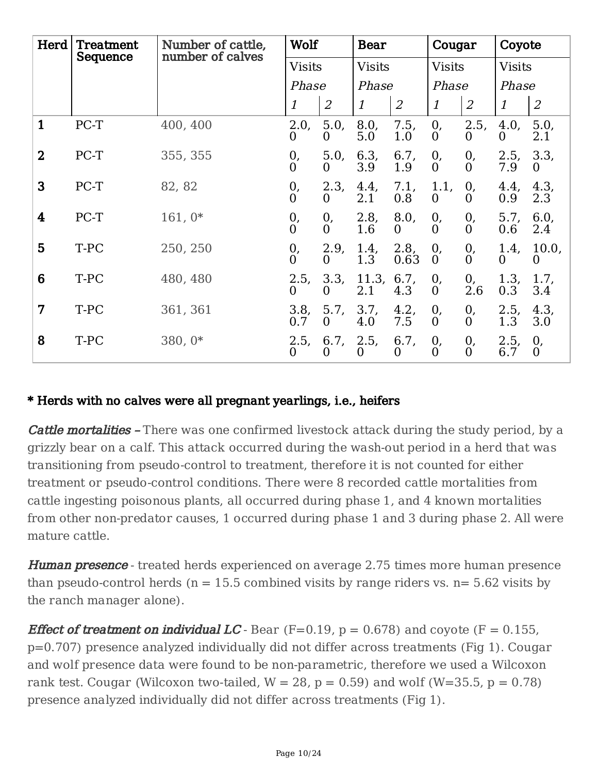| Herd                    | Treatment<br>Sequence | Number of cattle,<br>number of calves | Wolf<br><b>Visits</b><br>Phase |                        | <b>Bear</b>   |                        | Cougar                       |                        | Coyote                 |                   |
|-------------------------|-----------------------|---------------------------------------|--------------------------------|------------------------|---------------|------------------------|------------------------------|------------------------|------------------------|-------------------|
|                         |                       |                                       |                                |                        | <b>Visits</b> |                        | <b>Visits</b>                |                        | <b>Visits</b>          |                   |
|                         |                       |                                       |                                |                        | Phase         |                        | Phase                        |                        | Phase                  |                   |
|                         |                       |                                       | 1                              | $\overline{2}$         | 1             | $\overline{2}$         | $\mathbf{1}$                 | $\overline{2}$         | 1                      | $\overline{2}$    |
| $\mathbf{1}$            | PC-T                  | 400, 400                              | 2.0,<br>$\mathbf 0$            | 5.0,<br>$\mathbf 0$    | 8.0,<br>5.0   | 7.5,<br>1.0            | 0,<br>$\overline{0}$         | 2.5,<br>$\theta$       | 4.0,<br>$\mathbf{0}$   | 5.0,<br>2.1       |
| $\mathbf{2}$            | $PC-T$                | 355, 355                              | $\mathbf{0}$<br>0              | 5.0,<br>$\Omega$       | 6.3,<br>3.9   | 6.7,<br>1.9            | 0,<br>$\overline{0}$         | 0,<br>0                | 2.5,<br>7.9            | 3.3,<br>$\Omega$  |
| 3                       | $PC-T$                | 82, 82                                | $\theta$ ,<br>$\mathbf{0}$     | 2.3,<br>$\overline{0}$ | 4.4,<br>2.1   | 7.1,<br>0.8            | 1.1,<br>$\overline{0}$       | 0,<br>0                | 4.4,<br>0.9            | 4.3,<br>2.3       |
| $\overline{\mathbf{4}}$ | $PC-T$                | $161,0*$                              | $\theta$ ,<br>$\mathbf{0}$     | 0,<br>$\theta$         | 2.8,<br>1.6   | 8.0,<br>$\overline{0}$ | $\mathbf{0}$<br>$\Omega$     | 0,<br>$\Omega$         | 5.7,<br>0.6            | 6.0,<br>2.4       |
| 5                       | T-PC                  | 250, 250                              | $\theta$ ,<br>$\overline{0}$   | 2.9,<br>$\overline{0}$ | 1.4,<br>1.3   | 2.8,<br>0.63           | $\theta$ ,<br>$\overline{0}$ | 0,<br>$\overline{0}$   | 1.4,<br>$\overline{0}$ | 10.0,<br>$\bf{0}$ |
| 6                       | T-PC                  | 480, 480                              | 2.5,<br>$\theta$               | 3.3,<br>$\theta$       | 11.3,<br>2.1  | 6.7,<br>4.3            | 0,<br>$\overline{0}$         | 0,<br>2.6              | 1.3,<br>0.3            | 1.7,<br>3.4       |
| $\overline{7}$          | T-PC                  | 361, 361                              | 3.8,<br>0.7                    | 5.7,<br>$\overline{0}$ | 3.7,<br>4.0   | 4.2,<br>7.5            | 0,<br>$\overline{0}$         | 0,<br>$\overline{0}$   | 2.5,<br>1.3            | 4.3,<br>3.0       |
| 8                       | T-PC                  | $380,0*$                              | 2.5,<br>0                      | 6.7,<br>$\Omega$       | 2.5,<br>0     | 6.7,<br>$\Omega$       | 0,<br>$\Omega$               | $\theta$ ,<br>$\Omega$ | 2.5,<br>6.7            | 0,<br>$\theta$    |

### \* Herds with no calves were all pregnant yearlings, i.e., heifers

**Cattle mortalities -** There was one confirmed livestock attack during the study period, by a grizzly bear on a calf. This attack occurred during the wash-out period in a herd that was transitioning from pseudo-control to treatment, therefore it is not counted for either treatment or pseudo-control conditions. There were 8 recorded cattle mortalities from cattle ingesting poisonous plants, all occurred during phase 1, and 4 known mortalities from other non-predator causes, 1 occurred during phase 1 and 3 during phase 2. All were mature cattle.

**Human presence** - treated herds experienced on average 2.75 times more human presence than pseudo-control herds ( $n = 15.5$  combined visits by range riders vs.  $n = 5.62$  visits by the ranch manager alone).

**Effect of treatment on individual LC** - Bear (F=0.19,  $p = 0.678$ ) and coyote (F = 0.155, p=0.707) presence analyzed individually did not differ across treatments (Fig 1). Cougar and wolf presence data were found to be non-parametric, therefore we used a Wilcoxon rank test. Cougar (Wilcoxon two-tailed,  $W = 28$ ,  $p = 0.59$ ) and wolf (W=35.5,  $p = 0.78$ ) presence analyzed individually did not differ across treatments (Fig 1).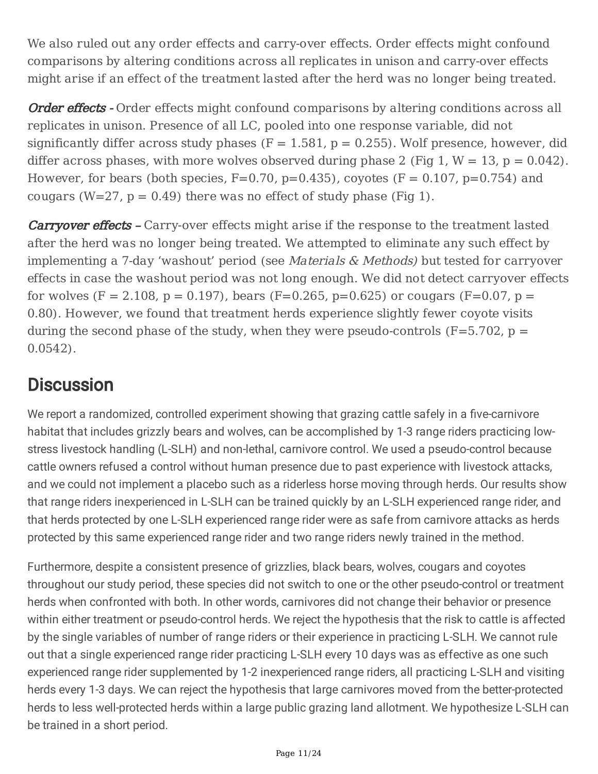We also ruled out any order effects and carry-over effects. Order effects might confound comparisons by altering conditions across all replicates in unison and carry-over effects might arise if an effect of the treatment lasted after the herd was no longer being treated.

**Order effects** - Order effects might confound comparisons by altering conditions across all replicates in unison. Presence of all LC, pooled into one response variable, did not significantly differ across study phases ( $F = 1.581$ ,  $p = 0.255$ ). Wolf presence, however, did differ across phases, with more wolves observed during phase 2 (Fig 1,  $W = 13$ ,  $p = 0.042$ ). However, for bears (both species,  $F=0.70$ ,  $p=0.435$ ), coyotes ( $F = 0.107$ ,  $p=0.754$ ) and cougars (W=27,  $p = 0.49$ ) there was no effect of study phase (Fig 1).

**Carryover effects -** Carry-over effects might arise if the response to the treatment lasted after the herd was no longer being treated. We attempted to eliminate any such effect by implementing a 7-day 'washout' period (see *Materials*  $\&$  *Methods*) but tested for carryover effects in case the washout period was not long enough. We did not detect carryover effects for wolves (F = 2.108, p = 0.197), bears (F=0.265, p=0.625) or cougars (F=0.07, p = 0.80). However, we found that treatment herds experience slightly fewer coyote visits during the second phase of the study, when they were pseudo-controls  $(F=5.702, p =$ 0.0542).

### **Discussion**

We report a randomized, controlled experiment showing that grazing cattle safely in a five-carnivore habitat that includes grizzly bears and wolves, can be accomplished by 1-3 range riders practicing lowstress livestock handling (L-SLH) and non-lethal, carnivore control. We used a pseudo-control because cattle owners refused a control without human presence due to past experience with livestock attacks, and we could not implement a placebo such as a riderless horse moving through herds. Our results show that range riders inexperienced in L-SLH can be trained quickly by an L-SLH experienced range rider, and that herds protected by one L-SLH experienced range rider were as safe from carnivore attacks as herds protected by this same experienced range rider and two range riders newly trained in the method.

Furthermore, despite a consistent presence of grizzlies, black bears, wolves, cougars and coyotes throughout our study period, these species did not switch to one or the other pseudo-control or treatment herds when confronted with both. In other words, carnivores did not change their behavior or presence within either treatment or pseudo-control herds. We reject the hypothesis that the risk to cattle is affected by the single variables of number of range riders or their experience in practicing L-SLH. We cannot rule out that a single experienced range rider practicing L-SLH every 10 days was as effective as one such experienced range rider supplemented by 1-2 inexperienced range riders, all practicing L-SLH and visiting herds every 1-3 days. We can reject the hypothesis that large carnivores moved from the better-protected herds to less well-protected herds within a large public grazing land allotment. We hypothesize L-SLH can be trained in a short period.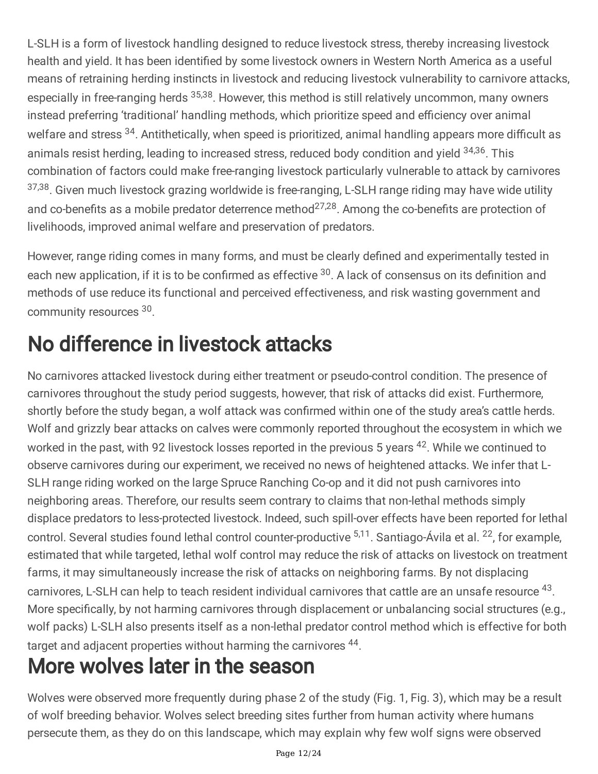L-SLH is a form of livestock handling designed to reduce livestock stress, thereby increasing livestock health and yield. It has been identified by some livestock owners in Western North America as a useful means of retraining herding instincts in livestock and reducing livestock vulnerability to carnivore attacks, especially in free-ranging herds <sup>35,38</sup>. However, this method is still relatively uncommon, many owners instead preferring 'traditional' handling methods, which prioritize speed and efficiency over animal welfare and stress <sup>34</sup>. Antithetically, when speed is prioritized, animal handling appears more difficult as animals resist herding, leading to increased stress, reduced body condition and yield <sup>34,36</sup>. This combination of factors could make free-ranging livestock particularly vulnerable to attack by carnivores <sup>37,38</sup>. Given much livestock grazing worldwide is free-ranging, L-SLH range riding may have wide utility and co-benefits as a mobile predator deterrence method<sup>27,28</sup>. Among the co-benefits are protection of livelihoods, improved animal welfare and preservation of predators.

However, range riding comes in many forms, and must be clearly defined and experimentally tested in each new application, if it is to be confirmed as effective <sup>30</sup>. A lack of consensus on its definition and methods of use reduce its functional and perceived effectiveness, and risk wasting government and community resources 30.

# No difference in livestock attacks

No carnivores attacked livestock during either treatment or pseudo-control condition. The presence of carnivores throughout the study period suggests, however, that risk of attacks did exist. Furthermore, shortly before the study began, a wolf attack was confirmed within one of the study area's cattle herds. Wolf and grizzly bear attacks on calves were commonly reported throughout the ecosystem in which we worked in the past, with 92 livestock losses reported in the previous 5 years <sup>42</sup>. While we continued to observe carnivores during our experiment, we received no news of heightened attacks. We infer that L-SLH range riding worked on the large Spruce Ranching Co-op and it did not push carnivores into neighboring areas. Therefore, our results seem contrary to claims that non-lethal methods simply displace predators to less-protected livestock. Indeed, such spill-over effects have been reported for lethal control. Several studies found lethal control counter-productive <sup>5,11</sup>. Santiago-Ávila et al. <sup>22</sup>, for example, estimated that while targeted, lethal wolf control may reduce the risk of attacks on livestock on treatment farms, it may simultaneously increase the risk of attacks on neighboring farms. By not displacing carnivores, L-SLH can help to teach resident individual carnivores that cattle are an unsafe resource <sup>43</sup>. More specifically, by not harming carnivores through displacement or unbalancing social structures (e.g., wolf packs) L-SLH also presents itself as a non-lethal predator control method which is effective for both target and adjacent properties without harming the carnivores <sup>44</sup>.

# More wolves later in the season

Wolves were observed more frequently during phase 2 of the study (Fig. 1, Fig. 3), which may be a result of wolf breeding behavior. Wolves select breeding sites further from human activity where humans persecute them, as they do on this landscape, which may explain why few wolf signs were observed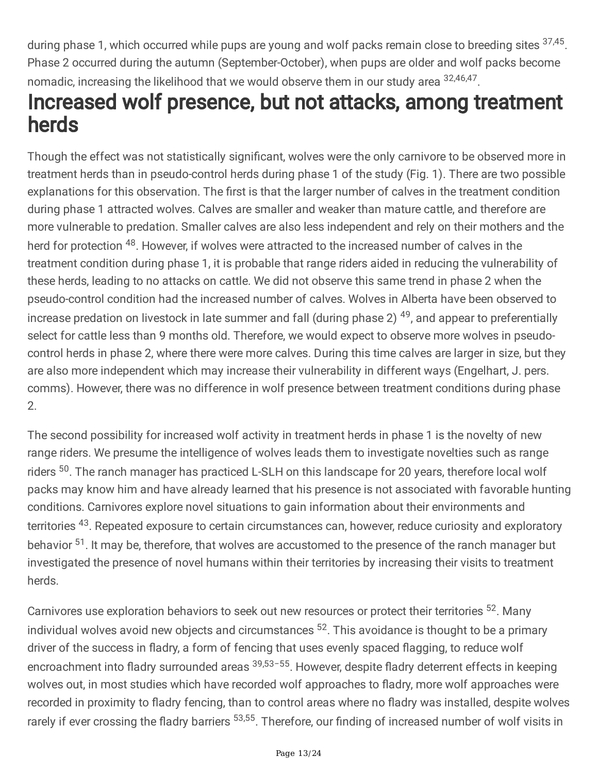during phase 1, which occurred while pups are young and wolf packs remain close to breeding sites <sup>37,45</sup>. Phase 2 occurred during the autumn (September-October), when pups are older and wolf packs become nomadic, increasing the likelihood that we would observe them in our study area  $32,46,47$ .

## Increased wolf presence, but not attacks, among treatment herds

Though the effect was not statistically significant, wolves were the only carnivore to be observed more in treatment herds than in pseudo-control herds during phase 1 of the study (Fig. 1). There are two possible explanations for this observation. The first is that the larger number of calves in the treatment condition during phase 1 attracted wolves. Calves are smaller and weaker than mature cattle, and therefore are more vulnerable to predation. Smaller calves are also less independent and rely on their mothers and the herd for protection <sup>48</sup>. However, if wolves were attracted to the increased number of calves in the treatment condition during phase 1, it is probable that range riders aided in reducing the vulnerability of these herds, leading to no attacks on cattle. We did not observe this same trend in phase 2 when the pseudo-control condition had the increased number of calves. Wolves in Alberta have been observed to increase predation on livestock in late summer and fall (during phase 2) <sup>49</sup>, and appear to preferentially select for cattle less than 9 months old. Therefore, we would expect to observe more wolves in pseudocontrol herds in phase 2, where there were more calves. During this time calves are larger in size, but they are also more independent which may increase their vulnerability in different ways (Engelhart, J. pers. comms). However, there was no difference in wolf presence between treatment conditions during phase 2.

The second possibility for increased wolf activity in treatment herds in phase 1 is the novelty of new range riders. We presume the intelligence of wolves leads them to investigate novelties such as range riders <sup>50</sup>. The ranch manager has practiced L-SLH on this landscape for 20 years, therefore local wolf packs may know him and have already learned that his presence is not associated with favorable hunting conditions. Carnivores explore novel situations to gain information about their environments and territories <sup>43</sup>. Repeated exposure to certain circumstances can, however, reduce curiosity and exploratory behavior <sup>51</sup>. It may be, therefore, that wolves are accustomed to the presence of the ranch manager but investigated the presence of novel humans within their territories by increasing their visits to treatment herds.

Carnivores use exploration behaviors to seek out new resources or protect their territories <sup>52</sup>. Many individual wolves avoid new objects and circumstances <sup>52</sup>. This avoidance is thought to be a primary driver of the success in fladry, a form of fencing that uses evenly spaced flagging, to reduce wolf encroachment into fladry surrounded areas <sup>39,53-55</sup>. However, despite fladry deterrent effects in keeping wolves out, in most studies which have recorded wolf approaches to fladry, more wolf approaches were recorded in proximity to fladry fencing, than to control areas where no fladry was installed, despite wolves rarely if ever crossing the fladry barriers <sup>53,55</sup>. Therefore, our finding of increased number of wolf visits in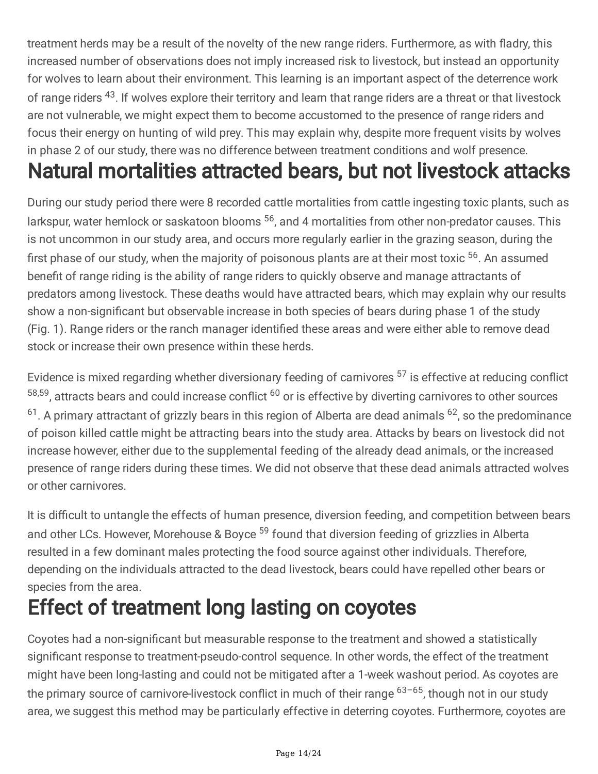treatment herds may be a result of the novelty of the new range riders. Furthermore, as with fladry, this increased number of observations does not imply increased risk to livestock, but instead an opportunity for wolves to learn about their environment. This learning is an important aspect of the deterrence work of range riders <sup>43</sup>. If wolves explore their territory and learn that range riders are a threat or that livestock are not vulnerable, we might expect them to become accustomed to the presence of range riders and focus their energy on hunting of wild prey. This may explain why, despite more frequent visits by wolves in phase 2 of our study, there was no difference between treatment conditions and wolf presence.

## Natural mortalities attracted bears, but not livestock attacks

During our study period there were 8 recorded cattle mortalities from cattle ingesting toxic plants, such as larkspur, water hemlock or saskatoon blooms <sup>56</sup>, and 4 mortalities from other non-predator causes. This is not uncommon in our study area, and occurs more regularly earlier in the grazing season, during the first phase of our study, when the majority of poisonous plants are at their most toxic <sup>56</sup>. An assumed benefit of range riding is the ability of range riders to quickly observe and manage attractants of predators among livestock. These deaths would have attracted bears, which may explain why our results show a non-significant but observable increase in both species of bears during phase 1 of the study (Fig. 1). Range riders or the ranch manager identified these areas and were either able to remove dead stock or increase their own presence within these herds.

Evidence is mixed regarding whether diversionary feeding of carnivores <sup>57</sup> is effective at reducing conflict <sup>58,59</sup>, attracts bears and could increase conflict <sup>60</sup> or is effective by diverting carnivores to other sources  $61$ . A primary attractant of grizzly bears in this region of Alberta are dead animals  $62$ , so the predominance of poison killed cattle might be attracting bears into the study area. Attacks by bears on livestock did not increase however, either due to the supplemental feeding of the already dead animals, or the increased presence of range riders during these times. We did not observe that these dead animals attracted wolves or other carnivores.

It is difficult to untangle the effects of human presence, diversion feeding, and competition between bears and other LCs. However, Morehouse & Boyce <sup>59</sup> found that diversion feeding of grizzlies in Alberta resulted in a few dominant males protecting the food source against other individuals. Therefore, depending on the individuals attracted to the dead livestock, bears could have repelled other bears or species from the area.

## Effect of treatment long lasting on coyotes

Coyotes had a non-significant but measurable response to the treatment and showed a statistically significant response to treatment-pseudo-control sequence. In other words, the effect of the treatment might have been long-lasting and could not be mitigated after a 1-week washout period. As coyotes are the primary source of carnivore-livestock conflict in much of their range <sup>63-65</sup>, though not in our study area, we suggest this method may be particularly effective in deterring coyotes. Furthermore, coyotes are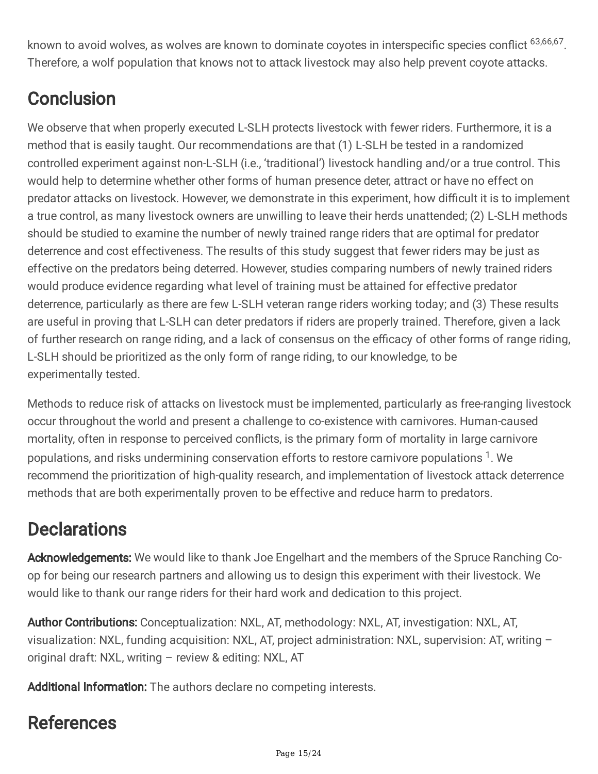known to avoid wolves, as wolves are known to dominate coyotes in interspecific species conflict <sup>63,66,67</sup>. Therefore, a wolf population that knows not to attack livestock may also help prevent coyote attacks.

## **Conclusion**

We observe that when properly executed L-SLH protects livestock with fewer riders. Furthermore, it is a method that is easily taught. Our recommendations are that (1) L-SLH be tested in a randomized controlled experiment against non-L-SLH (i.e., 'traditional') livestock handling and/or a true control. This would help to determine whether other forms of human presence deter, attract or have no effect on predator attacks on livestock. However, we demonstrate in this experiment, how difficult it is to implement a true control, as many livestock owners are unwilling to leave their herds unattended; (2) L-SLH methods should be studied to examine the number of newly trained range riders that are optimal for predator deterrence and cost effectiveness. The results of this study suggest that fewer riders may be just as effective on the predators being deterred. However, studies comparing numbers of newly trained riders would produce evidence regarding what level of training must be attained for effective predator deterrence, particularly as there are few L-SLH veteran range riders working today; and (3) These results are useful in proving that L-SLH can deter predators if riders are properly trained. Therefore, given a lack of further research on range riding, and a lack of consensus on the efficacy of other forms of range riding, L-SLH should be prioritized as the only form of range riding, to our knowledge, to be experimentally tested.

Methods to reduce risk of attacks on livestock must be implemented, particularly as free-ranging livestock occur throughout the world and present a challenge to co-existence with carnivores. Human-caused mortality, often in response to perceived conflicts, is the primary form of mortality in large carnivore populations, and risks undermining conservation efforts to restore carnivore populations <sup>1</sup>. We recommend the prioritization of high-quality research, and implementation of livestock attack deterrence methods that are both experimentally proven to be effective and reduce harm to predators.

## **Declarations**

Acknowledgements: We would like to thank Joe Engelhart and the members of the Spruce Ranching Coop for being our research partners and allowing us to design this experiment with their livestock. We would like to thank our range riders for their hard work and dedication to this project.

Author Contributions: Conceptualization: NXL, AT, methodology: NXL, AT, investigation: NXL, AT, visualization: NXL, funding acquisition: NXL, AT, project administration: NXL, supervision: AT, writing – original draft: NXL, writing – review & editing: NXL, AT

Additional Information: The authors declare no competing interests.

## References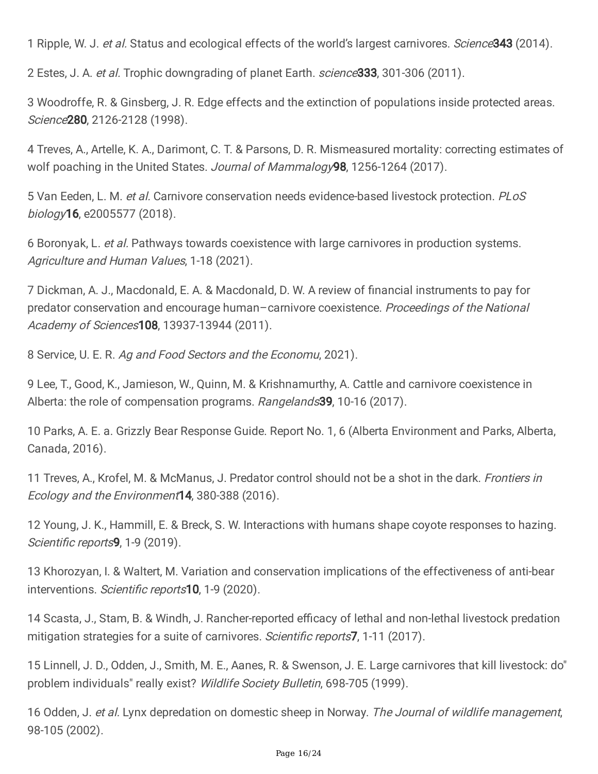1 Ripple, W. J. et al. Status and ecological effects of the world's largest carnivores. Science343 (2014).

2 Estes, J. A. et al. Trophic downgrading of planet Earth. science 333, 301-306 (2011).

3 Woodroffe, R. & Ginsberg, J. R. Edge effects and the extinction of populations inside protected areas. Science280, 2126-2128 (1998).

4 Treves, A., Artelle, K. A., Darimont, C. T. & Parsons, D. R. Mismeasured mortality: correcting estimates of wolf poaching in the United States. Journal of Mammalogy 98, 1256-1264 (2017).

5 Van Eeden, L. M. et al. Carnivore conservation needs evidence-based livestock protection. PLoS biology16, e2005577 (2018).

6 Boronyak, L. et al. Pathways towards coexistence with large carnivores in production systems. Agriculture and Human Values, 1-18 (2021).

7 Dickman, A. J., Macdonald, E. A. & Macdonald, D. W. A review of financial instruments to pay for predator conservation and encourage human–carnivore coexistence. Proceedings of the National Academy of Sciences**108**, 13937-13944 (2011).

8 Service, U. E. R. Ag and Food Sectors and the Economu, 2021).

9 Lee, T., Good, K., Jamieson, W., Quinn, M. & Krishnamurthy, A. Cattle and carnivore coexistence in Alberta: the role of compensation programs. Rangelands39, 10-16 (2017).

10 Parks, A. E. a. Grizzly Bear Response Guide. Report No. 1, 6 (Alberta Environment and Parks, Alberta, Canada, 2016).

11 Treves, A., Krofel, M. & McManus, J. Predator control should not be a shot in the dark. Frontiers in Ecology and the Environment<sup>14</sup>, 380-388 (2016).

12 Young, J. K., Hammill, E. & Breck, S. W. Interactions with humans shape coyote responses to hazing. Scientific reports<sup>9</sup>, 1-9 (2019).

13 Khorozyan, I. & Waltert, M. Variation and conservation implications of the effectiveness of anti-bear interventions. Scientific reports10, 1-9 (2020).

14 Scasta, J., Stam, B. & Windh, J. Rancher-reported efficacy of lethal and non-lethal livestock predation mitigation strategies for a suite of carnivores. Scientific reports7, 1-11 (2017).

15 Linnell, J. D., Odden, J., Smith, M. E., Aanes, R. & Swenson, J. E. Large carnivores that kill livestock: do" problem individuals" really exist? Wildlife Society Bulletin, 698-705 (1999).

16 Odden, J. et al. Lynx depredation on domestic sheep in Norway. The Journal of wildlife management, 98-105 (2002).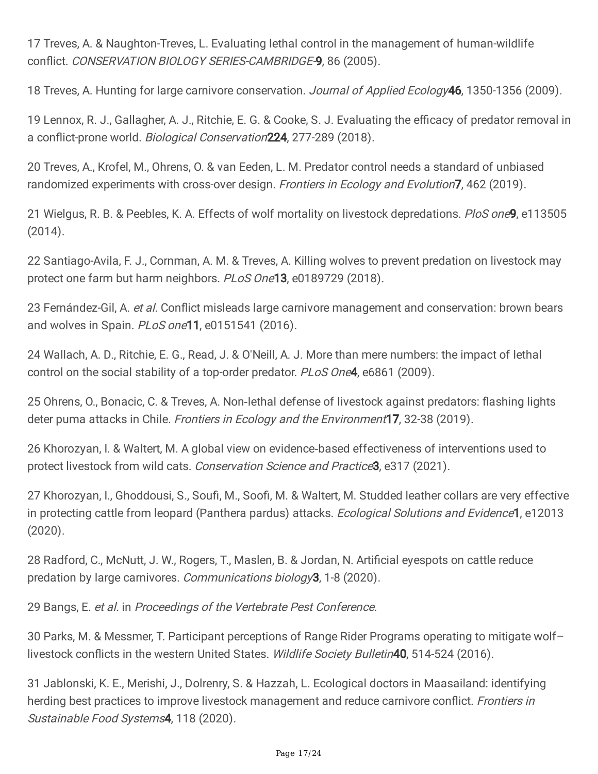17 Treves, A. & Naughton-Treves, L. Evaluating lethal control in the management of human-wildlife conflict. CONSERVATION BIOLOGY SERIES-CAMBRIDGE-9, 86 (2005).

18 Treves, A. Hunting for large carnivore conservation. Journal of Applied Ecology 46, 1350-1356 (2009).

19 Lennox, R. J., Gallagher, A. J., Ritchie, E. G. & Cooke, S. J. Evaluating the efficacy of predator removal in a conflict-prone world. Biological Conservation 224, 277-289 (2018).

20 Treves, A., Krofel, M., Ohrens, O. & van Eeden, L. M. Predator control needs a standard of unbiased randomized experiments with cross-over design. Frontiers in Ecology and Evolution7, 462 (2019).

21 Wielgus, R. B. & Peebles, K. A. Effects of wolf mortality on livestock depredations. PloS one9, e113505 (2014).

22 Santiago-Avila, F. J., Cornman, A. M. & Treves, A. Killing wolves to prevent predation on livestock may protect one farm but harm neighbors. PLoS One<sup>13</sup>, e0189729 (2018).

23 Fernández-Gil, A. et al. Conflict misleads large carnivore management and conservation: brown bears and wolves in Spain. PLoS one<sup>11</sup>, e0151541 (2016).

24 Wallach, A. D., Ritchie, E. G., Read, J. & O'Neill, A. J. More than mere numbers: the impact of lethal control on the social stability of a top-order predator. PLoS One4, e6861 (2009).

25 Ohrens, O., Bonacic, C. & Treves, A. Non‐lethal defense of livestock against predators: flashing lights deter puma attacks in Chile. Frontiers in Ecology and the Environment<sup>17</sup>, 32-38 (2019).

26 Khorozyan, I. & Waltert, M. A global view on evidence‐based effectiveness of interventions used to protect livestock from wild cats. Conservation Science and Practice **3**, e317 (2021).

27 Khorozyan, I., Ghoddousi, S., Soufi, M., Soofi, M. & Waltert, M. Studded leather collars are very effective in protecting cattle from leopard (Panthera pardus) attacks. *Ecological Solutions and Evidence*1, e12013 (2020).

28 Radford, C., McNutt, J. W., Rogers, T., Maslen, B. & Jordan, N. Artificial eyespots on cattle reduce predation by large carnivores. Communications biology3, 1-8 (2020).

29 Bangs, E. et al. in Proceedings of the Vertebrate Pest Conference.

30 Parks, M. & Messmer, T. Participant perceptions of Range Rider Programs operating to mitigate wolf– livestock conflicts in the western United States. Wildlife Society Bulletin40, 514-524 (2016).

31 Jablonski, K. E., Merishi, J., Dolrenry, S. & Hazzah, L. Ecological doctors in Maasailand: identifying herding best practices to improve livestock management and reduce carnivore conflict. Frontiers in Sustainable Food Systems4, 118 (2020).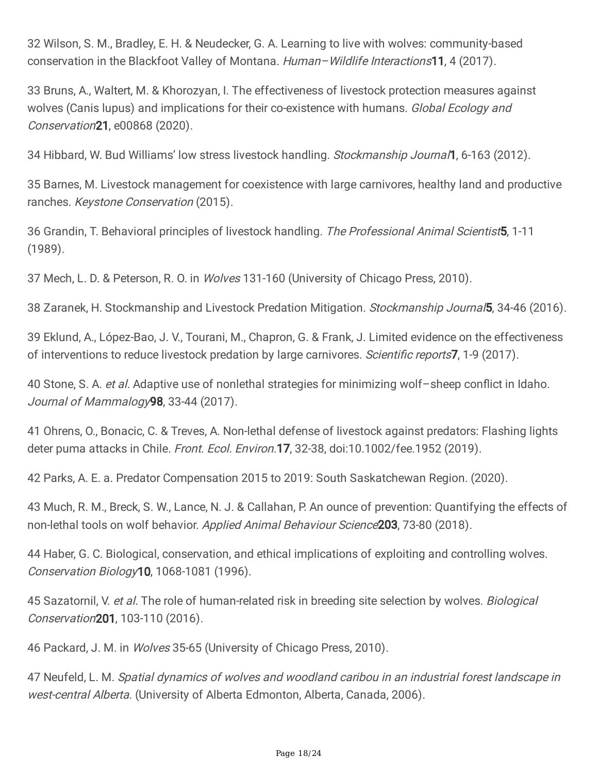32 Wilson, S. M., Bradley, E. H. & Neudecker, G. A. Learning to live with wolves: community-based conservation in the Blackfoot Valley of Montana. Human–Wildlife Interactions11, 4 (2017).

33 Bruns, A., Waltert, M. & Khorozyan, I. The effectiveness of livestock protection measures against wolves (Canis lupus) and implications for their co-existence with humans. Global Ecology and Conservation21, e00868 (2020).

34 Hibbard, W. Bud Williams' low stress livestock handling. Stockmanship Journal1, 6-163 (2012).

35 Barnes, M. Livestock management for coexistence with large carnivores, healthy land and productive ranches. Keystone Conservation (2015).

36 Grandin, T. Behavioral principles of livestock handling. The Professional Animal Scientist<sup>5</sup>, 1-11 (1989).

37 Mech, L. D. & Peterson, R. O. in Wolves 131-160 (University of Chicago Press, 2010).

38 Zaranek, H. Stockmanship and Livestock Predation Mitigation. Stockmanship Journal<sup>5</sup>, 34-46 (2016).

39 Eklund, A., López-Bao, J. V., Tourani, M., Chapron, G. & Frank, J. Limited evidence on the effectiveness of interventions to reduce livestock predation by large carnivores. Scientific reports7, 1-9 (2017).

40 Stone, S. A. et al. Adaptive use of nonlethal strategies for minimizing wolf-sheep conflict in Idaho. Journal of Mammalogy<sup>98</sup>, 33-44 (2017).

41 Ohrens, O., Bonacic, C. & Treves, A. Non-lethal defense of livestock against predators: Flashing lights deter puma attacks in Chile. Front. Ecol. Environ.17, 32-38, doi:10.1002/fee.1952 (2019).

42 Parks, A. E. a. Predator Compensation 2015 to 2019: South Saskatchewan Region. (2020).

43 Much, R. M., Breck, S. W., Lance, N. J. & Callahan, P. An ounce of prevention: Quantifying the effects of non-lethal tools on wolf behavior. Applied Animal Behaviour Science203, 73-80 (2018).

44 Haber, G. C. Biological, conservation, and ethical implications of exploiting and controlling wolves. Conservation Biology10, 1068-1081 (1996).

45 Sazatornil, V. et al. The role of human-related risk in breeding site selection by wolves. Biological Conservation201, 103-110 (2016).

46 Packard, J. M. in Wolves 35-65 (University of Chicago Press, 2010).

47 Neufeld, L. M. Spatial dynamics of wolves and woodland caribou in an industrial forest landscape in west-central Alberta. (University of Alberta Edmonton, Alberta, Canada, 2006).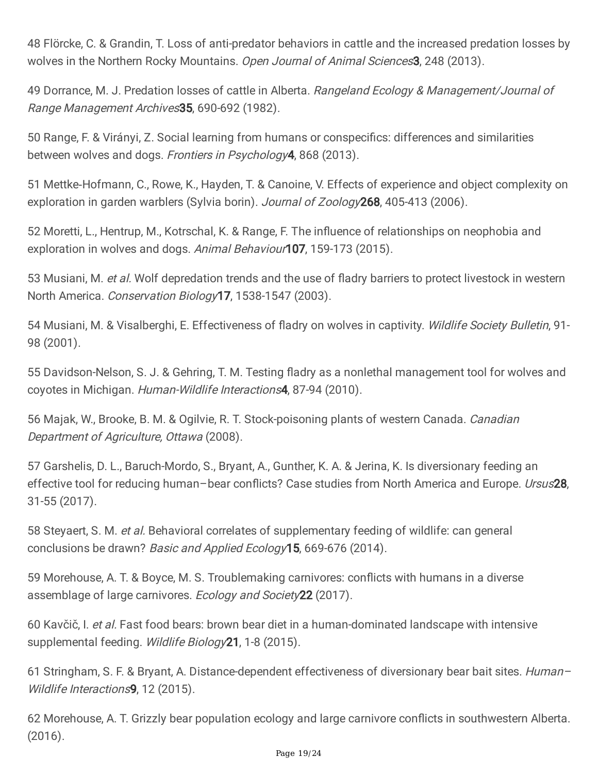48 Flörcke, C. & Grandin, T. Loss of anti-predator behaviors in cattle and the increased predation losses by wolves in the Northern Rocky Mountains. Open Journal of Animal Sciences3, 248 (2013).

49 Dorrance, M. J. Predation losses of cattle in Alberta. Rangeland Ecology & Management/Journal of Range Management Archives 35, 690-692 (1982).

50 Range, F. & Virányi, Z. Social learning from humans or conspecifics: differences and similarities between wolves and dogs. Frontiers in Psychology4, 868 (2013).

51 Mettke‐Hofmann, C., Rowe, K., Hayden, T. & Canoine, V. Effects of experience and object complexity on exploration in garden warblers (Sylvia borin). Journal of Zoology 268, 405-413 (2006).

52 Moretti, L., Hentrup, M., Kotrschal, K. & Range, F. The influence of relationships on neophobia and exploration in wolves and dogs. Animal Behaviour<sup>107</sup>, 159-173 (2015).

53 Musiani, M. et al. Wolf depredation trends and the use of fladry barriers to protect livestock in western North America. Conservation Biology<sup>17</sup>, 1538-1547 (2003).

54 Musiani, M. & Visalberghi, E. Effectiveness of fladry on wolves in captivity. Wildlife Society Bulletin, 91-98 (2001).

55 Davidson-Nelson, S. J. & Gehring, T. M. Testing fladry as a nonlethal management tool for wolves and coyotes in Michigan. Human-Wildlife Interactions4, 87-94 (2010).

56 Majak, W., Brooke, B. M. & Ogilvie, R. T. Stock-poisoning plants of western Canada. Canadian Department of Agriculture, Ottawa (2008).

57 Garshelis, D. L., Baruch-Mordo, S., Bryant, A., Gunther, K. A. & Jerina, K. Is diversionary feeding an effective tool for reducing human-bear conflicts? Case studies from North America and Europe. *Ursus*28, 31-55 (2017).

58 Steyaert, S. M. et al. Behavioral correlates of supplementary feeding of wildlife: can general conclusions be drawn? Basic and Applied Ecology15, 669-676 (2014).

59 Morehouse, A. T. & Boyce, M. S. Troublemaking carnivores: conflicts with humans in a diverse assemblage of large carnivores. *Ecology and Society* 22 (2017).

60 Kavčič, I. et al. Fast food bears: brown bear diet in a human-dominated landscape with intensive supplemental feeding. Wildlife Biology 21, 1-8 (2015).

61 Stringham, S. F. & Bryant, A. Distance-dependent effectiveness of diversionary bear bait sites. Human-Wildlife Interactions<sup>9</sup>, 12 (2015).

62 Morehouse, A. T. Grizzly bear population ecology and large carnivore conflicts in southwestern Alberta. (2016).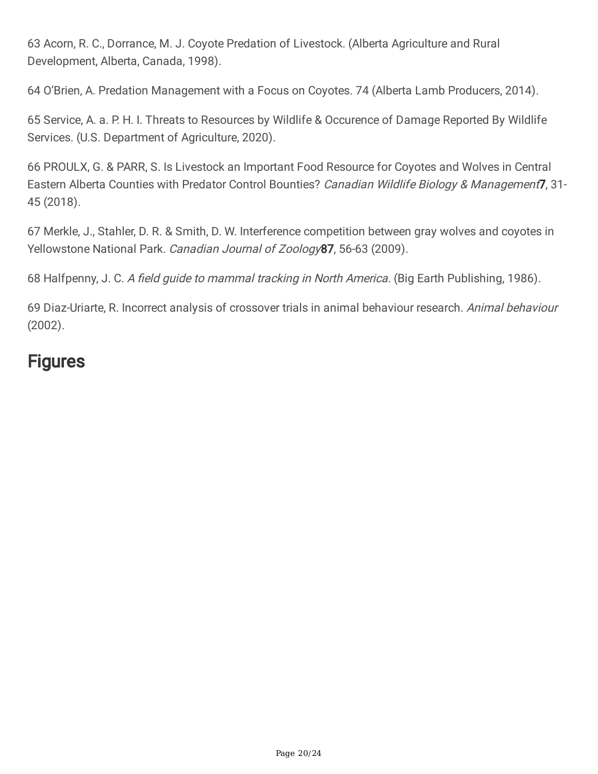63 Acorn, R. C., Dorrance, M. J. Coyote Predation of Livestock. (Alberta Agriculture and Rural Development, Alberta, Canada, 1998).

64 O'Brien, A. Predation Management with a Focus on Coyotes. 74 (Alberta Lamb Producers, 2014).

65 Service, A. a. P. H. I. Threats to Resources by Wildlife & Occurence of Damage Reported By Wildlife Services. (U.S. Department of Agriculture, 2020).

66 PROULX, G. & PARR, S. Is Livestock an Important Food Resource for Coyotes and Wolves in Central Eastern Alberta Counties with Predator Control Bounties? Canadian Wildlife Biology & Management7, 31-45 (2018).

67 Merkle, J., Stahler, D. R. & Smith, D. W. Interference competition between gray wolves and coyotes in Yellowstone National Park. Canadian Journal of Zoology<sup>87</sup>, 56-63 (2009).

68 Halfpenny, J. C. A field guide to mammal tracking in North America. (Big Earth Publishing, 1986).

69 Diaz-Uriarte, R. Incorrect analysis of crossover trials in animal behaviour research. Animal behaviour (2002).

### **Figures**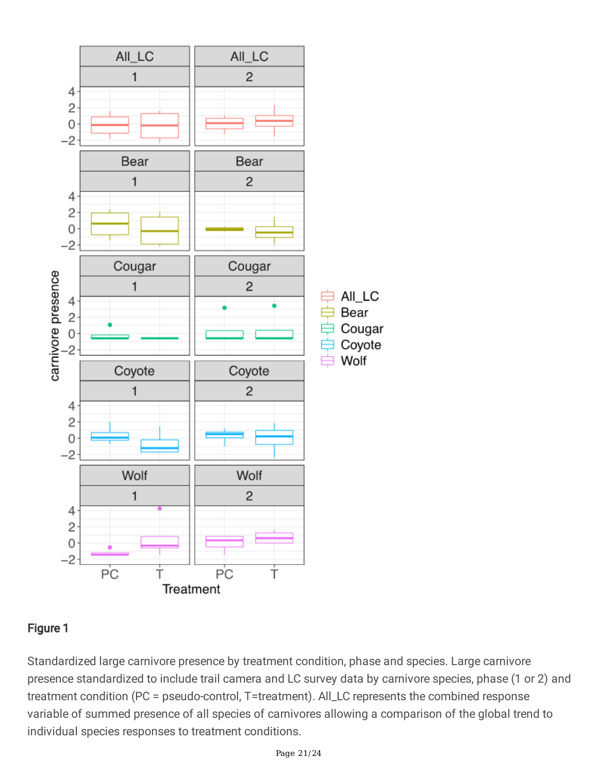

Standardized large carnivore presence by treatment condition, phase and species. Large carnivore presence standardized to include trail camera and LC survey data by carnivore species, phase (1 or 2) and treatment condition (PC = pseudo-control, T=treatment). All\_LC represents the combined response variable of summed presence of all species of carnivores allowing a comparison of the global trend to individual species responses to treatment conditions.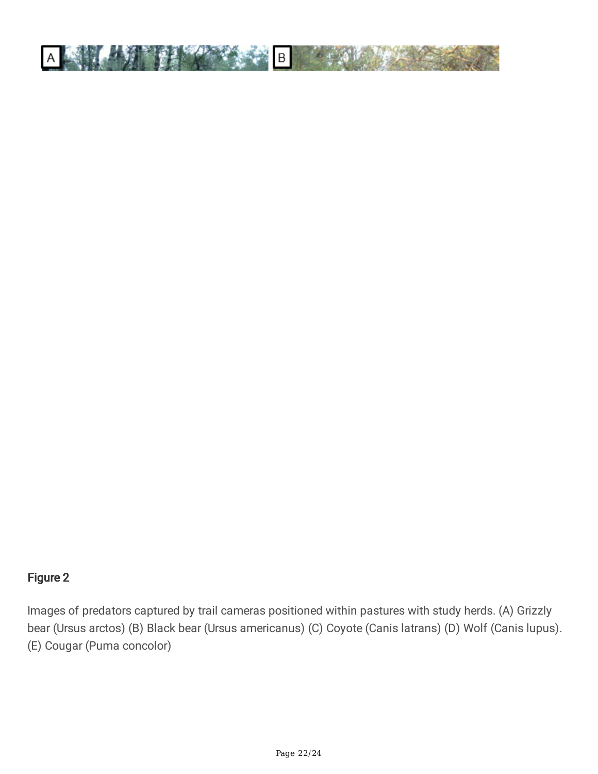

Images of predators captured by trail cameras positioned within pastures with study herds. (A) Grizzly bear (Ursus arctos) (B) Black bear (Ursus americanus) (C) Coyote (Canis latrans) (D) Wolf (Canis lupus). (E) Cougar (Puma concolor)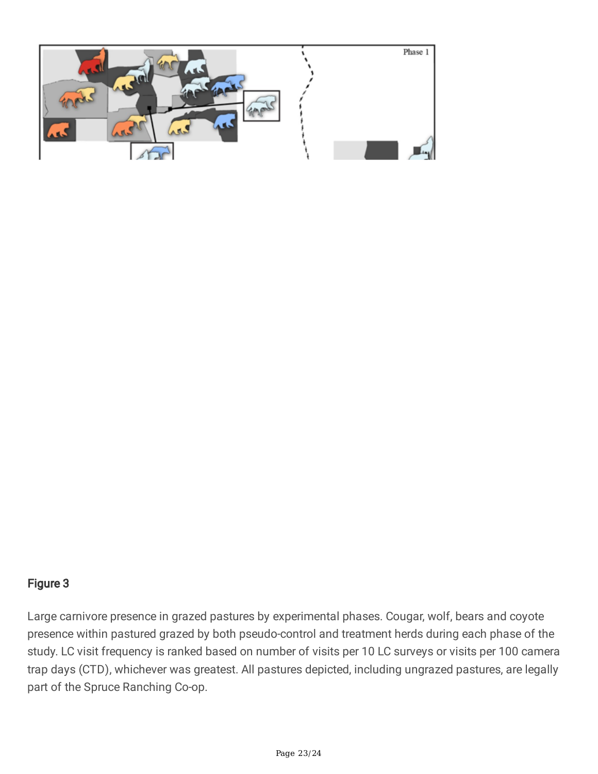

Large carnivore presence in grazed pastures by experimental phases. Cougar, wolf, bears and coyote presence within pastured grazed by both pseudo-control and treatment herds during each phase of the study. LC visit frequency is ranked based on number of visits per 10 LC surveys or visits per 100 camera trap days (CTD), whichever was greatest. All pastures depicted, including ungrazed pastures, are legally part of the Spruce Ranching Co-op.